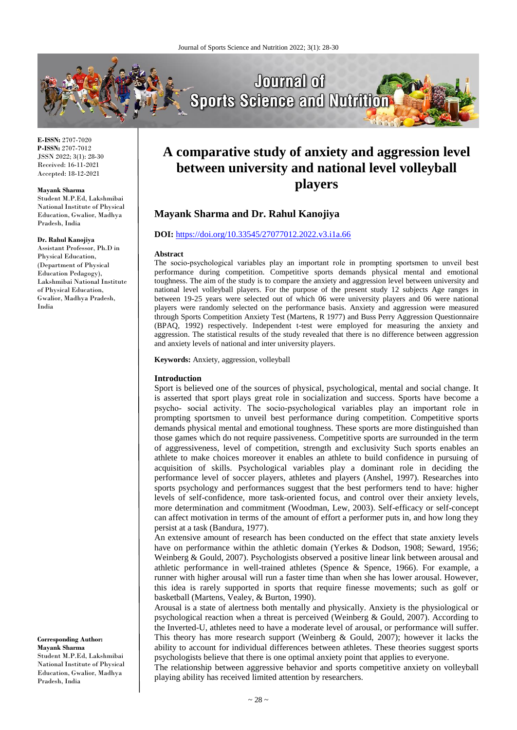**Mayank Sharma and Dr. Rahul Kanojiya**

and anxiety levels of national and inter university players.

**Abstract**

**Introduction**

**DOI:** <https://doi.org/10.33545/27077012.2022.v3.i1a.66>



**A comparative study of anxiety and aggression level between university and national level volleyball** 

**players**

The socio-psychological variables play an important role in prompting sportsmen to unveil best performance during competition. Competitive sports demands physical mental and emotional toughness. The aim of the study is to compare the anxiety and aggression level between university and national level volleyball players. For the purpose of the present study 12 subjects Age ranges in between 19-25 years were selected out of which 06 were university players and 06 were national players were randomly selected on the performance basis. Anxiety and aggression were measured through Sports Competition Anxiety Test (Martens, R 1977) and Buss Perry Aggression Questionnaire (BPAQ, 1992) respectively. Independent t-test were employed for measuring the anxiety and aggression. The statistical results of the study revealed that there is no difference between aggression

**E-ISSN:** 2707-7020 **P-ISSN:** 2707-7012 JSSN 2022; 3(1): 28-30 Received: 16-11-2021 Accepted: 18-12-2021

#### **Mayank Sharma**

Student M.P.Ed, Lakshmibai National Institute of Physical Education, Gwalior, Madhya Pradesh, India

#### **Dr. Rahul Kanojiya**

Assistant Professor, Ph.D in Physical Education, (Department of Physical Education Pedagogy), Lakshmibai National Institute of Physical Education, Gwalior, Madhya Pradesh, India

**Corresponding Author: Mayank Sharma** Student M.P.Ed, Lakshmibai National Institute of Physical Education, Gwalior, Madhya

Pradesh, India

# psycho‐ social activity. The socio‐psychological variables play an important role in prompting sportsmen to unveil best performance during competition. Competitive sports demands physical mental and emotional toughness. These sports are more distinguished than

**Keywords:** Anxiety, aggression, volleyball

those games which do not require passiveness. Competitive sports are surrounded in the term of aggressiveness, level of competition, strength and exclusivity Such sports enables an athlete to make choices moreover it enables an athlete to build confidence in pursuing of acquisition of skills. Psychological variables play a dominant role in deciding the performance level of soccer players, athletes and players (Anshel, 1997). Researches into sports psychology and performances suggest that the best performers tend to have: higher levels of self-confidence, more task-oriented focus, and control over their anxiety levels, more determination and commitment (Woodman, Lew, 2003). Self-efficacy or self-concept can affect motivation in terms of the amount of effort a performer puts in, and how long they persist at a task (Bandura, 1977).

Sport is believed one of the sources of physical, psychological, mental and social change. It is asserted that sport plays great role in socialization and success. Sports have become a

An extensive amount of research has been conducted on the effect that state anxiety levels have on performance within the athletic domain (Yerkes & Dodson, 1908; Seward, 1956; Weinberg & Gould, 2007). Psychologists observed a positive linear link between arousal and athletic performance in well-trained athletes (Spence & Spence, 1966). For example, a runner with higher arousal will run a faster time than when she has lower arousal. However, this idea is rarely supported in sports that require finesse movements; such as golf or basketball (Martens, Vealey, & Burton, 1990).

Arousal is a state of alertness both mentally and physically. Anxiety is the physiological or psychological reaction when a threat is perceived (Weinberg & Gould, 2007). According to the Inverted-U, athletes need to have a moderate level of arousal, or performance will suffer. This theory has more research support (Weinberg & Gould, 2007); however it lacks the ability to account for individual differences between athletes. These theories suggest sports psychologists believe that there is one optimal anxiety point that applies to everyone.

The relationship between aggressive behavior and sports competitive anxiety on volleyball playing ability has received limited attention by researchers.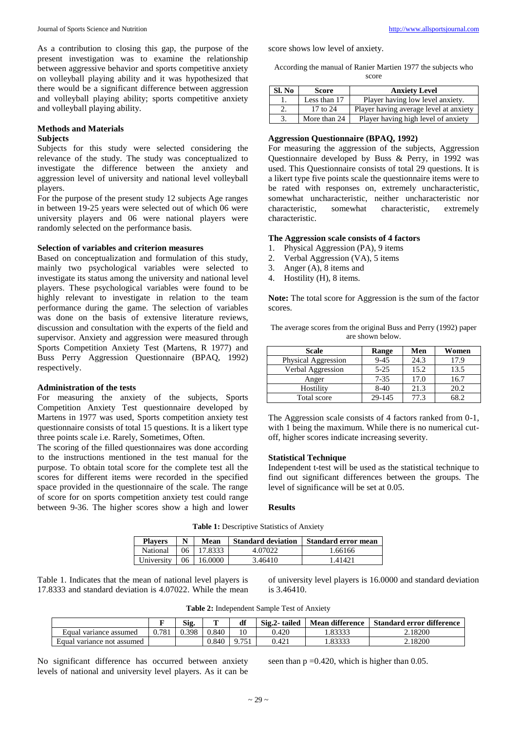As a contribution to closing this gap, the purpose of the present investigation was to examine the relationship between aggressive behavior and sports competitive anxiety on volleyball playing ability and it was hypothesized that there would be a significant difference between aggression and volleyball playing ability; sports competitive anxiety and volleyball playing ability.

## **Methods and Materials**

## **Subjects**

Subjects for this study were selected considering the relevance of the study. The study was conceptualized to investigate the difference between the anxiety and aggression level of university and national level volleyball players.

For the purpose of the present study 12 subjects Age ranges in between 19-25 years were selected out of which 06 were university players and 06 were national players were randomly selected on the performance basis.

#### **Selection of variables and criterion measures**

Based on conceptualization and formulation of this study, mainly two psychological variables were selected to investigate its status among the university and national level players. These psychological variables were found to be highly relevant to investigate in relation to the team performance during the game. The selection of variables was done on the basis of extensive literature reviews, discussion and consultation with the experts of the field and supervisor. Anxiety and aggression were measured through Sports Competition Anxiety Test (Martens, R 1977) and Buss Perry Aggression Questionnaire (BPAQ, 1992) respectively.

#### **Administration of the tests**

For measuring the anxiety of the subjects, Sports Competition Anxiety Test questionnaire developed by Martens in 1977 was used, Sports competition anxiety test questionnaire consists of total 15 questions. It is a likert type three points scale i.e. Rarely, Sometimes, Often.

The scoring of the filled questionnaires was done according to the instructions mentioned in the test manual for the purpose. To obtain total score for the complete test all the scores for different items were recorded in the specified space provided in the questionnaire of the scale. The range of score for on sports competition anxiety test could range between 9-36. The higher scores show a high and lower score shows low level of anxiety.

According the manual of Ranier Martien 1977 the subjects who score

| Sl. No | <b>Score</b> | <b>Anxiety Level</b>                   |  |  |  |
|--------|--------------|----------------------------------------|--|--|--|
|        | Less than 17 | Player having low level anxiety.       |  |  |  |
|        | $17$ to $24$ | Player having average level at anxiety |  |  |  |
|        | More than 24 | Player having high level of anxiety    |  |  |  |

### **Aggression Questionnaire (BPAQ, 1992)**

For measuring the aggression of the subjects, Aggression Questionnaire developed by Buss & Perry, in 1992 was used. This Questionnaire consists of total 29 questions. It is a likert type five points scale the questionnaire items were to be rated with responses on, extremely uncharacteristic, somewhat uncharacteristic, neither uncharacteristic nor characteristic, somewhat characteristic, extremely characteristic.

#### **The Aggression scale consists of 4 factors**

- 1. Physical Aggression (PA), 9 items
- 2. Verbal Aggression (VA), 5 items
- 3. Anger (A), 8 items and
- 4. Hostility (H), 8 items.

**Note:** The total score for Aggression is the sum of the factor scores.

The average scores from the original Buss and Perry (1992) paper are shown below.

| Scale               | Range    | Men  | Women |
|---------------------|----------|------|-------|
| Physical Aggression | $9 - 45$ | 24.3 | 17.9  |
| Verbal Aggression   | $5 - 25$ | 15.2 | 13.5  |
| Anger               | $7 - 35$ | 17.0 | 16.7  |
| Hostility           | $8-40$   | 21.3 | 20.2  |
| Total score         | 29-145   | 77.3 |       |

The Aggression scale consists of 4 factors ranked from 0-1, with 1 being the maximum. While there is no numerical cutoff, higher scores indicate increasing severity.

#### **Statistical Technique**

Independent t-test will be used as the statistical technique to find out significant differences between the groups. The level of significance will be set at 0.05.

### **Results**

**Table 1:** Descriptive Statistics of Anxiety

| <b>Players</b> | N   | Mean    | <b>Standard deviation</b> | Standard error mean |
|----------------|-----|---------|---------------------------|---------------------|
| National       | 06. | 17.8333 | 4.07022                   | 1.66166             |
| University     | 06  | 16.0000 | 3.46410                   | . 41421             |

Table 1. Indicates that the mean of national level players is 17.8333 and standard deviation is 4.07022. While the mean of university level players is 16.0000 and standard deviation is 3.46410.

|                            |       | Sig.  | m     | df   | Sig.2-tailed | <b>Mean difference</b> | <b>Standard error difference</b> |
|----------------------------|-------|-------|-------|------|--------------|------------------------|----------------------------------|
| Equal variance assumed     | 0.781 | 0.398 | 0.840 |      | 0.420        | .83333                 | 2.18200                          |
| Equal variance not assumed |       |       | 0.840 | 0.75 | 0.421        | .83333                 | 2.18200                          |

No significant difference has occurred between anxiety levels of national and university level players. As it can be

seen than  $p = 0.420$ , which is higher than 0.05.